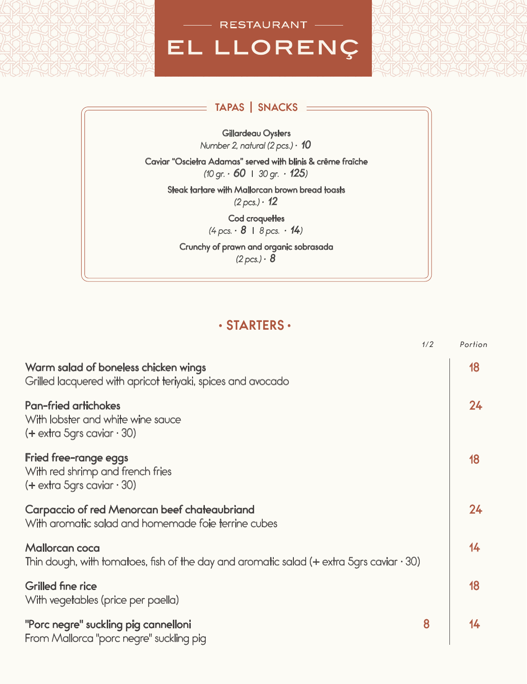

#### **TAPAS** | **SNACKS**

Gillardeau Oysters *Number 2, natural (2 pcs.) · 10*

Caviar "Oscietra Adamas" served with blinis & crême fraîche *(10 gr. · 60* l *30 gr. · 125)*

Steak tartare with Mallorcan brown bread toasts  $(2 pcs.) \cdot 12$ 

> Cod croquettes *(4 pcs. · 8* l *8 pcs. · 14)*

Crunchy of prawn and organic sobrasada  $(2 pcs.) \cdot 8$ 

### **· STARTERS ·**

|                                                                                                                  | 1/2 | Portion |
|------------------------------------------------------------------------------------------------------------------|-----|---------|
| Warm salad of boneless chicken wings<br>Grilled lacquered with apricot teriyaki, spices and avocado              |     | 18      |
| <b>Pan-fried artichokes</b><br>With lobster and white wine sauce<br>$(+$ extra 5grs caviar $\cdot$ 30)           |     | 24      |
| Fried free-range eggs<br>With red shrimp and french fries<br>$(+$ extra 5grs caviar $\cdot$ 30)                  |     | 18      |
| Carpaccio of red Menorcan beef chateaubriand<br>With aromatic salad and homemade foie terrine cubes              |     | 24      |
| Mallorcan coca<br>Thin dough, with tomatoes, fish of the day and aromatic salad (+ extra 5grs caviar $\cdot$ 30) |     | 14      |
| <b>Grilled fine rice</b><br>With vegetables (price per paella)                                                   |     | 18      |
| "Porc negre" suckling pig cannelloni<br>From Mallorca "porc negre" suckling pig                                  | 8   | 14      |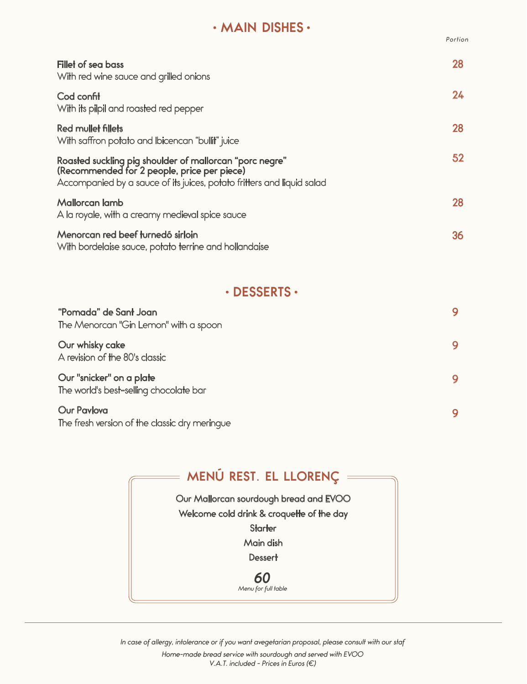## **· MAIN DISHES ·**

*Portion*

| Fillet of sea bass<br>With red wine sauce and grilled onions                                                                                                                     | 28 |
|----------------------------------------------------------------------------------------------------------------------------------------------------------------------------------|----|
| Cod confit<br>With its pilpil and roasted red pepper                                                                                                                             | 24 |
| Red mullet fillets<br>With saffron potato and Ibicencan "bullit" juice                                                                                                           | 28 |
| Roasted suckling pig shoulder of mallorcan "porc negre"<br>(Recommended for 2 people, price per piece)<br>Accompanied by a sauce of its juices, potato fritters and liquid salad | 52 |
| Mallorcan lamb<br>A la royale, with a creamy medieval spice sauce                                                                                                                | 28 |
| Menorcan red beef turnedó sirloin<br>With bordelaise sauce, potato terrine and hollandaise                                                                                       | 36 |

### **· DESSERTS ·**

| "Pomada" de Sant Joan<br>The Menorcan "Gin Lemon" with a spoon      |  |
|---------------------------------------------------------------------|--|
| Our whisky cake<br>A revision of the 80's classic                   |  |
| Our "snicker" on a plate<br>The world's best-selling chocolate bar  |  |
| <b>Our Pavlova</b><br>The fresh version of the classic dry meringue |  |

| = MENÚ REST. EL LLORENÇ =                 |
|-------------------------------------------|
| Our Mallorcan sourdough bread and EVOO    |
| Welcome cold drink & croquette of the day |
| <b>Starter</b>                            |
| Main dish                                 |
| <b>Dessert</b>                            |
| Menu for full table                       |

*In case of allergy, intolerance or if you want avegetarian proposal, please consult with our staf*

*Home-made bread service with sourdough and served with EVOO V.A.T. included - Prices in Euros (€)*